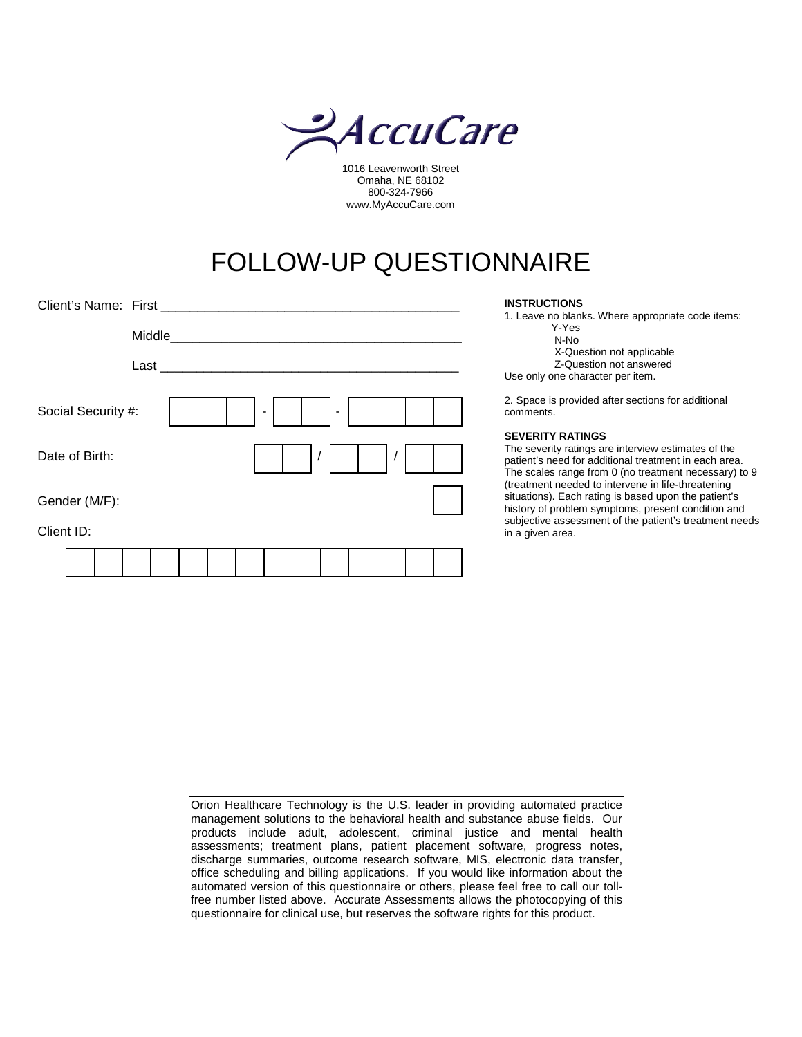

1016 Leavenworth Street Omaha, NE 68102 800-324-7966 www.MyAccuCare.com

## FOLLOW-UP QUESTIONNAIRE

| Client's Name: First |        |  |   |  |  |  |  | <b>INSTRUCTIONS</b><br>1. Leave no blanks. Where appropriate code items:                                                                                                                                                                               |
|----------------------|--------|--|---|--|--|--|--|--------------------------------------------------------------------------------------------------------------------------------------------------------------------------------------------------------------------------------------------------------|
|                      | Middle |  |   |  |  |  |  | Y-Yes<br>N-No                                                                                                                                                                                                                                          |
|                      | Last   |  |   |  |  |  |  | X-Question not applicable<br>Z-Question not answered<br>Use only one character per item.                                                                                                                                                               |
| Social Security #:   |        |  | ٠ |  |  |  |  | 2. Space is provided after sections for additional<br>comments.                                                                                                                                                                                        |
| Date of Birth:       |        |  |   |  |  |  |  | <b>SEVERITY RATINGS</b><br>The severity ratings are interview estimates of the<br>patient's need for additional treatment in each area.<br>The scales range from 0 (no treatment necessary) to 9<br>(treatment needed to intervene in life-threatening |
| Gender (M/F):        |        |  |   |  |  |  |  | situations). Each rating is based upon the patient's<br>history of problem symptoms, present condition and                                                                                                                                             |
| Client ID:           |        |  |   |  |  |  |  | subjective assessment of the patient's treatment needs<br>in a given area.                                                                                                                                                                             |
|                      |        |  |   |  |  |  |  |                                                                                                                                                                                                                                                        |

| Orion Healthcare Technology is the U.S. leader in providing automated practice        |
|---------------------------------------------------------------------------------------|
| management solutions to the behavioral health and substance abuse fields. Our         |
| products include adult, adolescent, criminal justice and mental health                |
| assessments; treatment plans, patient placement software, progress notes,             |
| discharge summaries, outcome research software, MIS, electronic data transfer,        |
| office scheduling and billing applications. If you would like information about the   |
| automated version of this questionnaire or others, please feel free to call our toll- |
| free number listed above. Accurate Assessments allows the photocopying of this        |
| questionnaire for clinical use, but reserves the software rights for this product.    |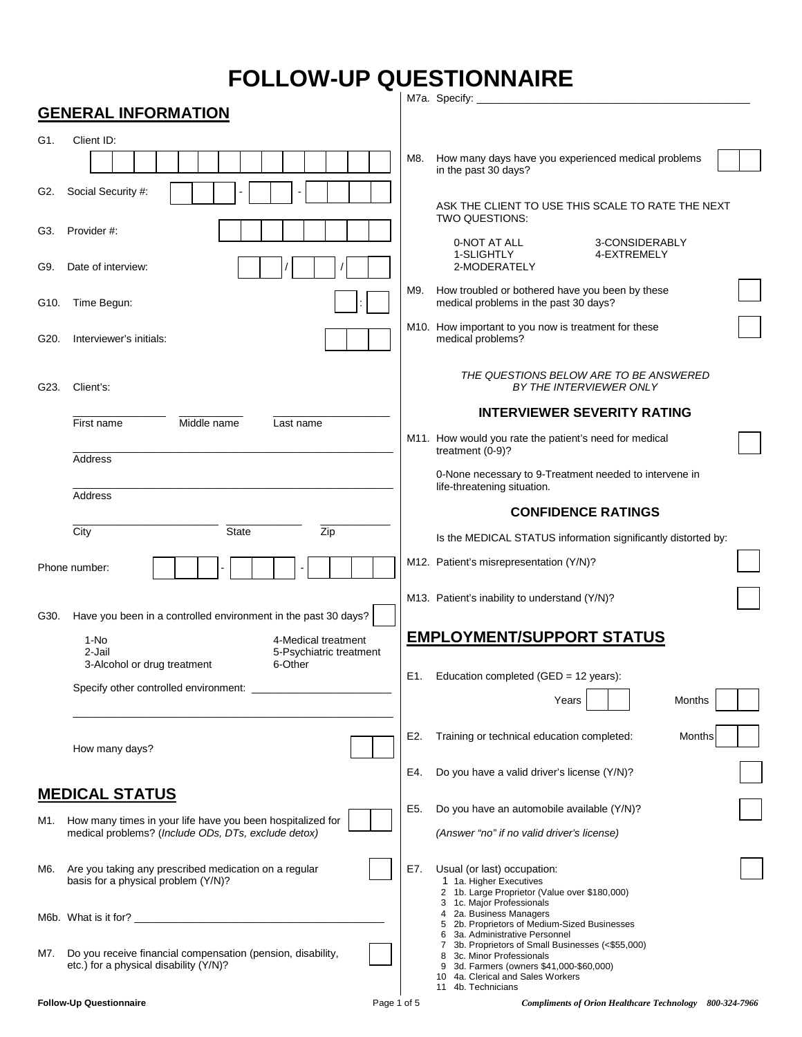## **FOLLOW-UP QUESTIONNAIRE**

|      | <b>GENERAL INFORMATION</b>                                                                            |             | M7a. Specify:                                                                                                                                                                                         |
|------|-------------------------------------------------------------------------------------------------------|-------------|-------------------------------------------------------------------------------------------------------------------------------------------------------------------------------------------------------|
| G1.  | Client ID:                                                                                            |             |                                                                                                                                                                                                       |
|      |                                                                                                       |             | How many days have you experienced medical problems<br>M8.<br>in the past 30 days?                                                                                                                    |
| G2.  | Social Security #:                                                                                    |             | ASK THE CLIENT TO USE THIS SCALE TO RATE THE NEXT                                                                                                                                                     |
| G3.  | Provider #:                                                                                           |             | TWO QUESTIONS:<br>0-NOT AT ALL<br>3-CONSIDERABLY<br>4-EXTREMELY                                                                                                                                       |
| G9.  | Date of interview:                                                                                    |             | 1-SLIGHTLY<br>2-MODERATELY                                                                                                                                                                            |
| G10. | Time Begun:                                                                                           |             | How troubled or bothered have you been by these<br>M9.<br>medical problems in the past 30 days?                                                                                                       |
| G20. | Interviewer's initials:                                                                               |             | M10. How important to you now is treatment for these<br>medical problems?                                                                                                                             |
| G23. | Client's:                                                                                             |             | THE QUESTIONS BELOW ARE TO BE ANSWERED<br>BY THE INTERVIEWER ONLY                                                                                                                                     |
|      | Middle name<br>First name<br>Last name                                                                |             | <b>INTERVIEWER SEVERITY RATING</b>                                                                                                                                                                    |
|      | Address                                                                                               |             | M11. How would you rate the patient's need for medical<br>treatment (0-9)?                                                                                                                            |
|      | <b>Address</b>                                                                                        |             | 0-None necessary to 9-Treatment needed to intervene in<br>life-threatening situation.                                                                                                                 |
|      |                                                                                                       |             | <b>CONFIDENCE RATINGS</b>                                                                                                                                                                             |
|      | City<br><b>State</b><br>Zip                                                                           |             | Is the MEDICAL STATUS information significantly distorted by:                                                                                                                                         |
|      | Phone number:                                                                                         |             | M12. Patient's misrepresentation (Y/N)?                                                                                                                                                               |
| G30. | Have you been in a controlled environment in the past 30 days?                                        |             | M13. Patient's inability to understand (Y/N)?                                                                                                                                                         |
|      | $1-NO$<br>4-Medical treatment<br>2-Jail<br>5-Psychiatric treatment                                    |             | <b>EMPLOYMENT/SUPPORT STATUS</b>                                                                                                                                                                      |
|      | 6-Other<br>3-Alcohol or drug treatment                                                                |             | Education completed (GED = 12 years):<br>E1.                                                                                                                                                          |
|      | Specify other controlled environment:                                                                 |             | Years<br>Months                                                                                                                                                                                       |
|      | How many days?                                                                                        |             | E2.<br>Training or technical education completed:<br>Months                                                                                                                                           |
|      |                                                                                                       |             | Do you have a valid driver's license (Y/N)?<br>E4.                                                                                                                                                    |
|      | <b>MEDICAL STATUS</b>                                                                                 |             |                                                                                                                                                                                                       |
| M1.  | How many times in your life have you been hospitalized for                                            |             | Do you have an automobile available (Y/N)?<br>E5.                                                                                                                                                     |
|      | medical problems? (Include ODs, DTs, exclude detox)                                                   |             | (Answer "no" if no valid driver's license)                                                                                                                                                            |
| M6.  | Are you taking any prescribed medication on a regular<br>basis for a physical problem (Y/N)?          |             | E7.<br>Usual (or last) occupation:<br>1 1a. Higher Executives<br>2 1b. Large Proprietor (Value over \$180,000)                                                                                        |
|      | M6b. What is it for?                                                                                  |             | 3 1c. Major Professionals<br>4 2a. Business Managers<br>5 2b. Proprietors of Medium-Sized Businesses<br>3a. Administrative Personnel<br>6                                                             |
| M7.  | Do you receive financial compensation (pension, disability,<br>etc.) for a physical disability (Y/N)? |             | 3b. Proprietors of Small Businesses (<\$55,000)<br>$\overline{7}$<br>8 3c. Minor Professionals<br>9 3d. Farmers (owners \$41,000-\$60,000)<br>10 4a. Clerical and Sales Workers<br>11 4b. Technicians |
|      | <b>Follow-Up Questionnaire</b>                                                                        | Page 1 of 5 | Compliments of Orion Healthcare Technology 800-324-7966                                                                                                                                               |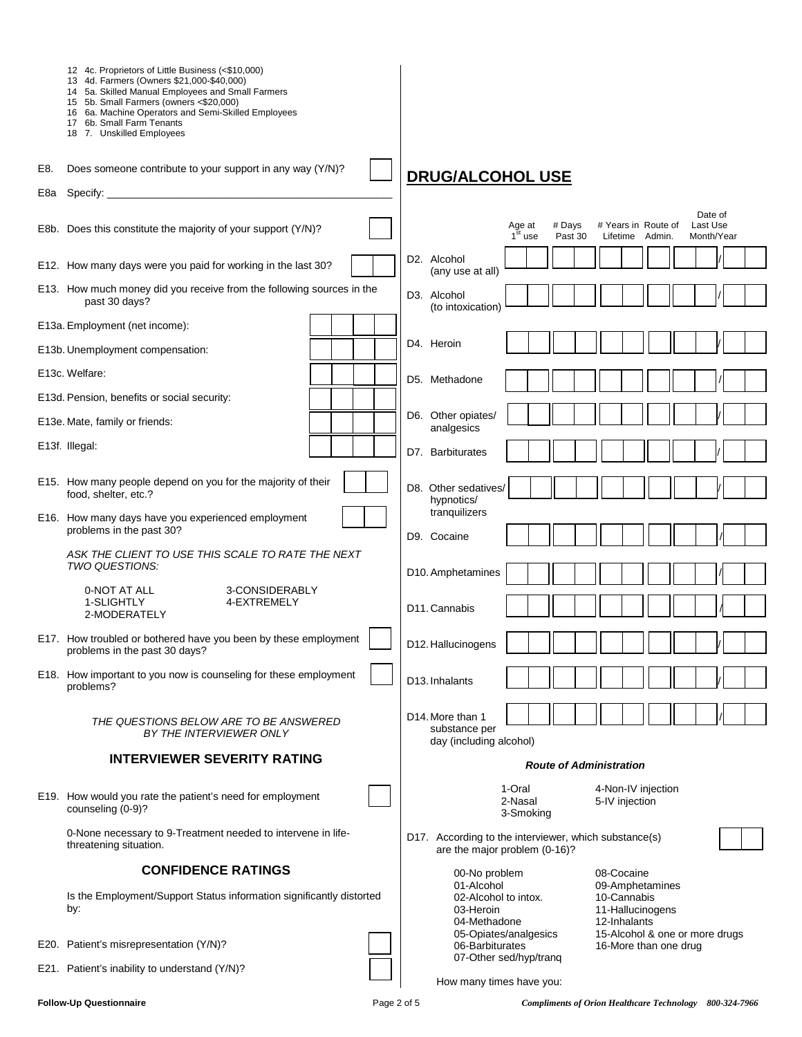|     | 12 4c. Proprietors of Little Business (<\$10,000)<br>13 4d. Farmers (Owners \$21,000-\$40,000)<br>14 5a. Skilled Manual Employees and Small Farmers<br>15 5b. Small Farmers (owners <\$20,000)<br>16 6a. Machine Operators and Semi-Skilled Employees<br>17 6b. Small Farm Tenants<br>18 7. Unskilled Employees |                                                                                                                                       |
|-----|-----------------------------------------------------------------------------------------------------------------------------------------------------------------------------------------------------------------------------------------------------------------------------------------------------------------|---------------------------------------------------------------------------------------------------------------------------------------|
| E8. | Does someone contribute to your support in any way (Y/N)?                                                                                                                                                                                                                                                       | <b>DRUG/ALCOHOL USE</b>                                                                                                               |
| E8a |                                                                                                                                                                                                                                                                                                                 |                                                                                                                                       |
|     | E8b. Does this constitute the majority of your support (Y/N)?                                                                                                                                                                                                                                                   | Date of<br># Years in Route of<br>Last Use<br># Days<br>Age at<br>$1st$ use<br>Past 30<br>Month/Year<br>Lifetime Admin.               |
|     | E12. How many days were you paid for working in the last 30?                                                                                                                                                                                                                                                    | D2. Alcohol<br>(any use at all)                                                                                                       |
|     | E13. How much money did you receive from the following sources in the<br>past 30 days?                                                                                                                                                                                                                          | D3. Alcohol<br>(to intoxication)                                                                                                      |
|     | E13a. Employment (net income):                                                                                                                                                                                                                                                                                  |                                                                                                                                       |
|     | E13b. Unemployment compensation:                                                                                                                                                                                                                                                                                | D4. Heroin                                                                                                                            |
|     | E13c. Welfare:                                                                                                                                                                                                                                                                                                  | D5. Methadone                                                                                                                         |
|     | E13d. Pension, benefits or social security:                                                                                                                                                                                                                                                                     |                                                                                                                                       |
|     | E13e. Mate, family or friends:                                                                                                                                                                                                                                                                                  | D6. Other opiates/<br>analgesics                                                                                                      |
|     | E13f. Illegal:                                                                                                                                                                                                                                                                                                  | D7. Barbiturates                                                                                                                      |
|     | E15. How many people depend on you for the majority of their<br>food, shelter, etc.?                                                                                                                                                                                                                            | D8. Other sedatives/<br>hypnotics/                                                                                                    |
|     | E16. How many days have you experienced employment<br>problems in the past 30?                                                                                                                                                                                                                                  | tranquilizers<br>D9. Cocaine                                                                                                          |
|     | ASK THE CLIENT TO USE THIS SCALE TO RATE THE NEXT<br>TWO QUESTIONS:                                                                                                                                                                                                                                             |                                                                                                                                       |
|     | 0-NOT AT ALL<br>3-CONSIDERABLY                                                                                                                                                                                                                                                                                  | D10. Amphetamines                                                                                                                     |
|     | 1-SLIGHTLY<br>4-EXTREMELY<br>2-MODERATELY                                                                                                                                                                                                                                                                       | D11. Cannabis                                                                                                                         |
|     | E17. How troubled or bothered have you been by these employment<br>problems in the past 30 days?                                                                                                                                                                                                                | D12. Hallucinogens                                                                                                                    |
|     | E18. How important to you now is counseling for these employment<br>problems?                                                                                                                                                                                                                                   | D <sub>13</sub> . Inhalants                                                                                                           |
|     | THE QUESTIONS BELOW ARE TO BE ANSWERED<br>BY THE INTERVIEWER ONLY                                                                                                                                                                                                                                               | D14. More than 1<br>substance per<br>day (including alcohol)                                                                          |
|     | <b>INTERVIEWER SEVERITY RATING</b>                                                                                                                                                                                                                                                                              | <b>Route of Administration</b>                                                                                                        |
|     | E19. How would you rate the patient's need for employment<br>counseling (0-9)?                                                                                                                                                                                                                                  | 1-Oral<br>4-Non-IV injection<br>2-Nasal<br>5-IV injection<br>3-Smoking                                                                |
|     | 0-None necessary to 9-Treatment needed to intervene in life-<br>threatening situation.                                                                                                                                                                                                                          | D17. According to the interviewer, which substance(s)<br>are the major problem (0-16)?                                                |
|     | <b>CONFIDENCE RATINGS</b>                                                                                                                                                                                                                                                                                       | 00-No problem<br>08-Cocaine                                                                                                           |
|     | Is the Employment/Support Status information significantly distorted<br>by:                                                                                                                                                                                                                                     | 01-Alcohol<br>09-Amphetamines<br>10-Cannabis<br>02-Alcohol to intox.<br>11-Hallucinogens<br>03-Heroin<br>12-Inhalants<br>04-Methadone |
|     | E20. Patient's misrepresentation (Y/N)?                                                                                                                                                                                                                                                                         | 05-Opiates/analgesics<br>15-Alcohol & one or more drugs<br>06-Barbiturates<br>16-More than one drug<br>07-Other sed/hyp/tranq         |
|     | E21. Patient's inability to understand (Y/N)?                                                                                                                                                                                                                                                                   | How many times have you:                                                                                                              |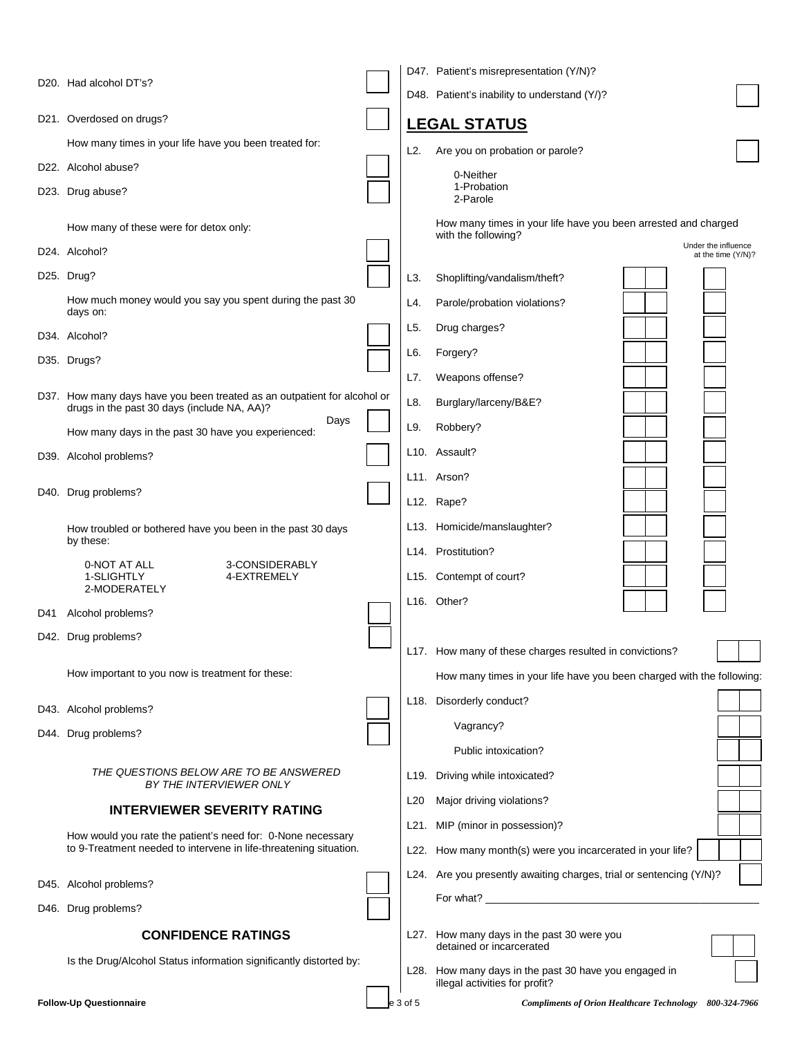|     |                                                                                                                         |                 | D47. Patient's misrepresentation (Y/N)?                                                 |                                           |
|-----|-------------------------------------------------------------------------------------------------------------------------|-----------------|-----------------------------------------------------------------------------------------|-------------------------------------------|
|     | D20. Had alcohol DT's?                                                                                                  |                 | D48. Patient's inability to understand (Y/)?                                            |                                           |
|     | D21. Overdosed on drugs?                                                                                                |                 | <b>LEGAL STATUS</b>                                                                     |                                           |
|     | How many times in your life have you been treated for:                                                                  | L2.             | Are you on probation or parole?                                                         |                                           |
|     | D22. Alcohol abuse?                                                                                                     |                 | 0-Neither                                                                               |                                           |
|     | D23. Drug abuse?                                                                                                        |                 | 1-Probation<br>2-Parole                                                                 |                                           |
|     | How many of these were for detox only:                                                                                  |                 | How many times in your life have you been arrested and charged<br>with the following?   |                                           |
|     | D24. Alcohol?                                                                                                           |                 |                                                                                         | Under the influence<br>at the time (Y/N)? |
|     | D <sub>25</sub> . Drug?                                                                                                 | L3.             | Shoplifting/vandalism/theft?                                                            |                                           |
|     | How much money would you say you spent during the past 30<br>days on:                                                   | L4.             | Parole/probation violations?                                                            |                                           |
|     | D34. Alcohol?                                                                                                           | L5.             | Drug charges?                                                                           |                                           |
|     | D35. Drugs?                                                                                                             | L6.             | Forgery?                                                                                |                                           |
|     |                                                                                                                         | L7.             | Weapons offense?                                                                        |                                           |
|     | D37. How many days have you been treated as an outpatient for alcohol or<br>drugs in the past 30 days (include NA, AA)? | L8.             | Burglary/larceny/B&E?                                                                   |                                           |
|     | Days<br>How many days in the past 30 have you experienced:                                                              | L9.             | Robbery?                                                                                |                                           |
|     | D39. Alcohol problems?                                                                                                  |                 | L10. Assault?                                                                           |                                           |
|     |                                                                                                                         |                 | L <sub>11</sub> . Arson?                                                                |                                           |
|     | D40. Drug problems?                                                                                                     |                 | L12. Rape?                                                                              |                                           |
|     | How troubled or bothered have you been in the past 30 days                                                              |                 | L13. Homicide/manslaughter?                                                             |                                           |
|     | by these:                                                                                                               |                 | L14. Prostitution?                                                                      |                                           |
|     | 3-CONSIDERABLY<br>0-NOT AT ALL<br>1-SLIGHTLY<br>4-EXTREMELY                                                             |                 | L15. Contempt of court?                                                                 |                                           |
|     | 2-MODERATELY                                                                                                            |                 | L16. Other?                                                                             |                                           |
| D41 | Alcohol problems?                                                                                                       |                 |                                                                                         |                                           |
|     | D42. Drug problems?                                                                                                     |                 | L17. How many of these charges resulted in convictions?                                 |                                           |
|     | How important to you now is treatment for these:                                                                        |                 | How many times in your life have you been charged with the following:                   |                                           |
|     | D43. Alcohol problems?                                                                                                  |                 | L18. Disorderly conduct?                                                                |                                           |
|     | D44. Drug problems?                                                                                                     |                 | Vagrancy?                                                                               |                                           |
|     |                                                                                                                         |                 | Public intoxication?                                                                    |                                           |
|     | THE QUESTIONS BELOW ARE TO BE ANSWERED<br>BY THE INTERVIEWER ONLY                                                       |                 | L19. Driving while intoxicated?                                                         |                                           |
|     | <b>INTERVIEWER SEVERITY RATING</b>                                                                                      | L <sub>20</sub> | Major driving violations?                                                               |                                           |
|     | How would you rate the patient's need for: 0-None necessary                                                             |                 | L21. MIP (minor in possession)?                                                         |                                           |
|     | to 9-Treatment needed to intervene in life-threatening situation.                                                       |                 | L22. How many month(s) were you incarcerated in your life?                              |                                           |
|     | D45. Alcohol problems?                                                                                                  |                 | L24. Are you presently awaiting charges, trial or sentencing (Y/N)?                     |                                           |
|     | D46. Drug problems?                                                                                                     |                 |                                                                                         |                                           |
|     |                                                                                                                         |                 |                                                                                         |                                           |
|     | <b>CONFIDENCE RATINGS</b>                                                                                               |                 | L27. How many days in the past 30 were you<br>detained or incarcerated                  |                                           |
|     | Is the Drug/Alcohol Status information significantly distorted by:                                                      |                 | L28. How many days in the past 30 have you engaged in<br>illegal activities for profit? |                                           |
|     | <b>Follow-Up Questionnaire</b>                                                                                          | 3 of 5          | <b>Compliments of Orion Healthcare Technology</b>                                       | 800-324-7966                              |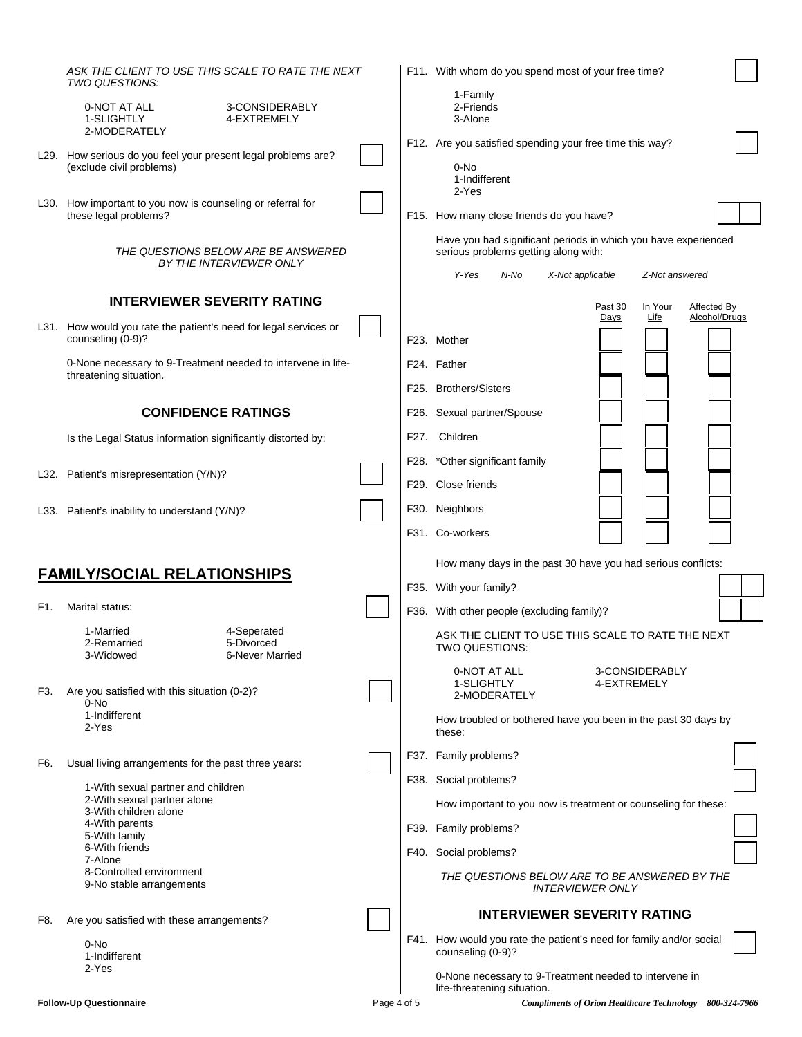|     | ASK THE CLIENT TO USE THIS SCALE TO RATE THE NEXT<br>TWO QUESTIONS:                       |  |  | F11. With whom do you spend most of your free time?                                                    |  |
|-----|-------------------------------------------------------------------------------------------|--|--|--------------------------------------------------------------------------------------------------------|--|
|     | 0-NOT AT ALL<br>3-CONSIDERABLY<br>1-SLIGHTLY<br>4-EXTREMELY<br>2-MODERATELY               |  |  | 1-Family<br>2-Friends<br>3-Alone                                                                       |  |
|     | L29. How serious do you feel your present legal problems are?<br>(exclude civil problems) |  |  | F12. Are you satisfied spending your free time this way?<br>0-No<br>1-Indifferent                      |  |
|     | L30. How important to you now is counseling or referral for<br>these legal problems?      |  |  | 2-Yes<br>F15. How many close friends do you have?                                                      |  |
|     | THE QUESTIONS BELOW ARE BE ANSWERED<br>BY THE INTERVIEWER ONLY                            |  |  | Have you had significant periods in which you have experienced<br>serious problems getting along with: |  |
|     |                                                                                           |  |  | N-No<br>Y-Yes<br>X-Not applicable<br>Z-Not answered                                                    |  |
|     | <b>INTERVIEWER SEVERITY RATING</b>                                                        |  |  | Past 30<br>In Your<br>Affected By                                                                      |  |
|     | L31. How would you rate the patient's need for legal services or<br>counseling (0-9)?     |  |  | Alcohol/Drugs<br>Days<br>Life<br>F23. Mother                                                           |  |
|     | 0-None necessary to 9-Treatment needed to intervene in life-<br>threatening situation.    |  |  | F24. Father                                                                                            |  |
|     |                                                                                           |  |  | F25. Brothers/Sisters                                                                                  |  |
|     | <b>CONFIDENCE RATINGS</b>                                                                 |  |  | F26. Sexual partner/Spouse                                                                             |  |
|     | Is the Legal Status information significantly distorted by:                               |  |  | F27. Children                                                                                          |  |
|     |                                                                                           |  |  | F28. * Other significant family                                                                        |  |
|     | L32. Patient's misrepresentation (Y/N)?                                                   |  |  | F29. Close friends                                                                                     |  |
|     | L33. Patient's inability to understand (Y/N)?                                             |  |  | F30. Neighbors                                                                                         |  |
|     |                                                                                           |  |  | F31. Co-workers                                                                                        |  |
|     |                                                                                           |  |  | How many days in the past 30 have you had serious conflicts:                                           |  |
|     | <b>FAMILY/SOCIAL RELATIONSHIPS</b>                                                        |  |  | F35. With your family?                                                                                 |  |
| F1. | Marital status:                                                                           |  |  | F36. With other people (excluding family)?                                                             |  |
|     | 4-Seperated<br>1-Married<br>5-Divorced<br>2-Remarried<br>3-Widowed<br>6-Never Married     |  |  | ASK THE CLIENT TO USE THIS SCALE TO RATE THE NEXT<br>TWO QUESTIONS:                                    |  |
| F3. | Are you satisfied with this situation (0-2)?<br>0-No                                      |  |  | 0-NOT AT ALL<br>3-CONSIDERABLY<br>1-SLIGHTLY<br>4-EXTREMELY<br>2-MODERATELY                            |  |
|     | 1-Indifferent<br>2-Yes                                                                    |  |  | How troubled or bothered have you been in the past 30 days by<br>these:                                |  |
| F6. | Usual living arrangements for the past three years:                                       |  |  | F37. Family problems?                                                                                  |  |
|     | 1-With sexual partner and children                                                        |  |  | F38. Social problems?                                                                                  |  |
|     | 2-With sexual partner alone<br>3-With children alone                                      |  |  | How important to you now is treatment or counseling for these:                                         |  |
|     | 4-With parents<br>5-With family                                                           |  |  | F39. Family problems?                                                                                  |  |
|     | 6-With friends<br>7-Alone                                                                 |  |  | F40. Social problems?                                                                                  |  |
|     | 8-Controlled environment<br>9-No stable arrangements                                      |  |  | THE QUESTIONS BELOW ARE TO BE ANSWERED BY THE<br><i><b>INTERVIEWER ONLY</b></i>                        |  |
| F8. | Are you satisfied with these arrangements?                                                |  |  | <b>INTERVIEWER SEVERITY RATING</b>                                                                     |  |
|     | 0-No<br>1-Indifferent                                                                     |  |  | F41. How would you rate the patient's need for family and/or social<br>counseling (0-9)?               |  |
|     | 2-Yes                                                                                     |  |  | 0-None necessary to 9-Treatment needed to intervene in<br>life-threatening situation.                  |  |